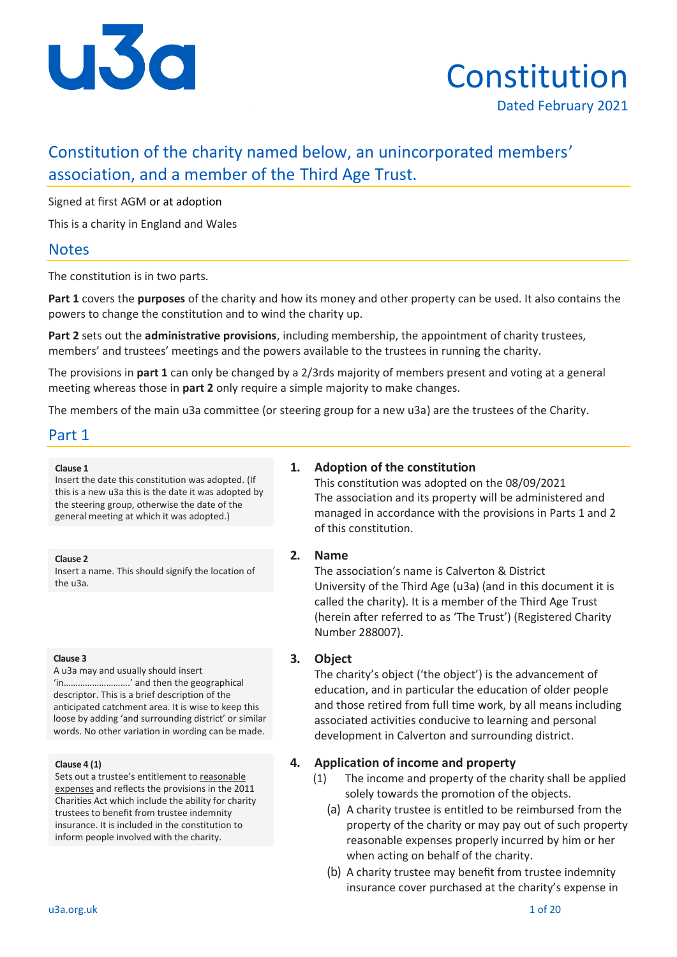

# Constitution Dated February 2021

# Constitution of the charity named below, an unincorporated members' association, and a member of the Third Age Trust.

Signed at first AGM or at adoption

This is a charity in England and Wales

# **Notes**

The constitution is in two parts.

**Part 1** covers the **purposes** of the charity and how its money and other property can be used. It also contains the powers to change the constitution and to wind the charity up.

**Part 2** sets out the **administrative provisions**, including membership, the appointment of charity trustees, members' and trustees' meetings and the powers available to the trustees in running the charity.

The provisions in **part 1** can only be changed by a 2/3rds majority of members present and voting at a general meeting whereas those in **part 2** only require a simple majority to make changes.

The members of the main u3a committee (or steering group for a new u3a) are the trustees of the Charity.

## Part 1

#### **Clause 1**

Insert the date this constitution was adopted. (If this is a new u3a this is the date it was adopted by the steering group, otherwise the date of the general meeting at which it was adopted.)

**Clause 2**

Insert a name. This should signify the location of the u3a.

#### **Clause 3**

A u3a may and usually should insert 'in……………………….' and then the geographical descriptor. This is a brief description of the anticipated catchment area. It is wise to keep this loose by adding 'and surrounding district' or similar words. No other variation in wording can be made.

#### **Clause 4 (1)**

Sets out a trustee's entitlement to reasonable expenses and reflects the provisions in the 2011 Charities Act which include the ability for charity trustees to benefit from trustee indemnity insurance. It is included in the constitution to inform people involved with the charity.

### **1. Adoption of the constitution**

This constitution was adopted on the 08/09/2021 The association and its property will be administered and managed in accordance with the provisions in Parts 1 and 2 of this constitution.

### **2. Name**

The association's name is Calverton & District University of the Third Age (u3a) (and in this document it is called the charity). It is a member of the Third Age Trust (herein after referred to as 'The Trust') (Registered Charity Number 288007).

### **3. Object**

The charity's object ('the object') is the advancement of education, and in particular the education of older people and those retired from full time work, by all means including associated activities conducive to learning and personal development in Calverton and surrounding district.

### **4. Application of income and property**

- (1) The income and property of the charity shall be applied solely towards the promotion of the objects.
	- (a) A charity trustee is entitled to be reimbursed from the property of the charity or may pay out of such property reasonable expenses properly incurred by him or her when acting on behalf of the charity.
	- (b) A charity trustee may benefit from trustee indemnity insurance cover purchased at the charity's expense in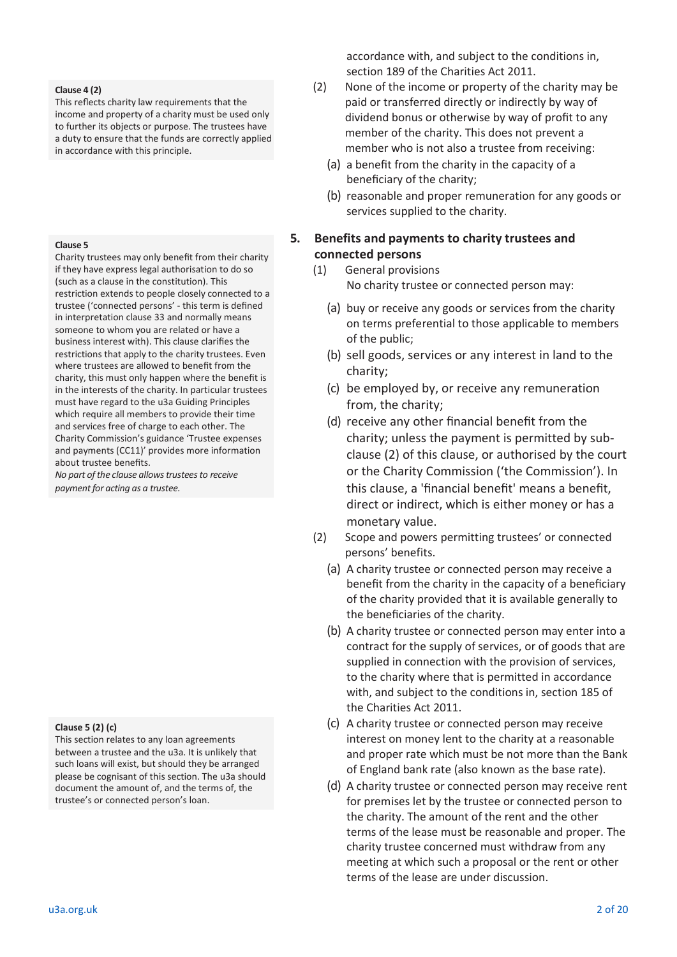#### **Clause 4 (2)**

This reflects charity law requirements that the income and property of a charity must be used only to further its objects or purpose. The trustees have a duty to ensure that the funds are correctly applied in accordance with this principle.

#### **Clause 5**

Charity trustees may only benefit from their charity if they have express legal authorisation to do so (such as a clause in the constitution). This restriction extends to people closely connected to a trustee ('connected persons' - this term is defined in interpretation clause 33 and normally means someone to whom you are related or have a business interest with). This clause clarifies the restrictions that apply to the charity trustees. Even where trustees are allowed to benefit from the charity, this must only happen where the benefit is in the interests of the charity. In particular trustees must have regard to the u3a Guiding Principles which require all members to provide their time and services free of charge to each other. The Charity Commission's guidance 'Trustee expenses and payments (CC11)' provides more information about trustee benefits.

*No part of the clause allows trustees to receive payment for acting as a trustee.*

#### **Clause 5 (2) (c)**

This section relates to any loan agreements between a trustee and the u3a. It is unlikely that such loans will exist, but should they be arranged please be cognisant of this section. The u3a should document the amount of, and the terms of, the trustee's or connected person's loan.

accordance with, and subject to the conditions in, section 189 of the Charities Act 2011.

- (2) None of the income or property of the charity may be paid or transferred directly or indirectly by way of dividend bonus or otherwise by way of profit to any member of the charity. This does not prevent a member who is not also a trustee from receiving:
	- (a) a benefit from the charity in the capacity of a beneficiary of the charity;
	- (b) reasonable and proper remuneration for any goods or services supplied to the charity.

### **5. Benefits and payments to charity trustees and connected persons**

- (1) General provisions No charity trustee or connected person may:
	- (a) buy or receive any goods or services from the charity on terms preferential to those applicable to members of the public;
	- (b) sell goods, services or any interest in land to the charity;
	- (c) be employed by, or receive any remuneration from, the charity;
	- (d) receive any other financial benefit from the charity; unless the payment is permitted by subclause (2) of this clause, or authorised by the court or the Charity Commission ('the Commission'). In this clause, a 'financial benefit' means a benefit, direct or indirect, which is either money or has a monetary value.
- (2) Scope and powers permitting trustees' or connected persons' benefits.
	- (a) A charity trustee or connected person may receive a benefit from the charity in the capacity of a beneficiary of the charity provided that it is available generally to the beneficiaries of the charity.
	- (b) A charity trustee or connected person may enter into a contract for the supply of services, or of goods that are supplied in connection with the provision of services, to the charity where that is permitted in accordance with, and subject to the conditions in, section 185 of the Charities Act 2011.
	- (c) A charity trustee or connected person may receive interest on money lent to the charity at a reasonable and proper rate which must be not more than the Bank of England bank rate (also known as the base rate).
	- (d) A charity trustee or connected person may receive rent for premises let by the trustee or connected person to the charity. The amount of the rent and the other terms of the lease must be reasonable and proper. The charity trustee concerned must withdraw from any meeting at which such a proposal or the rent or other terms of the lease are under discussion.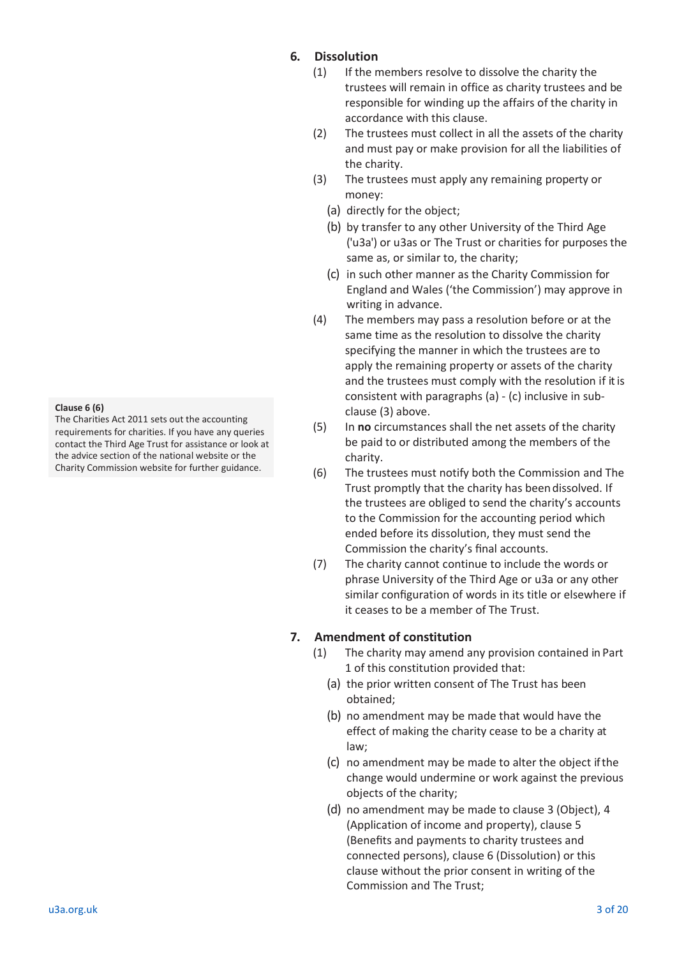#### **Clause 6 (6)**

The Charities Act 2011 sets out the accounting requirements for charities. If you have any queries contact the Third Age Trust for assistance or look at the advice section of the national website or the Charity Commission website for further guidance.

### **6. Dissolution**

- (1) If the members resolve to dissolve the charity the trustees will remain in office as charity trustees and be responsible for winding up the affairs of the charity in accordance with this clause.
- (2) The trustees must collect in all the assets of the charity and must pay or make provision for all the liabilities of the charity.
- (3) The trustees must apply any remaining property or money:
	- (a) directly for the object;
	- (b) by transfer to any other University of the Third Age ('u3a') or u3as or The Trust or charities for purposes the same as, or similar to, the charity;
	- (c) in such other manner as the Charity Commission for England and Wales ('the Commission') may approve in writing in advance.
- (4) The members may pass a resolution before or at the same time as the resolution to dissolve the charity specifying the manner in which the trustees are to apply the remaining property or assets of the charity and the trustees must comply with the resolution if it is consistent with paragraphs (a) - (c) inclusive in subclause (3) above.
- (5) In **no** circumstances shall the net assets of the charity be paid to or distributed among the members of the charity.
- (6) The trustees must notify both the Commission and The Trust promptly that the charity has beendissolved. If the trustees are obliged to send the charity's accounts to the Commission for the accounting period which ended before its dissolution, they must send the Commission the charity's final accounts.
- (7) The charity cannot continue to include the words or phrase University of the Third Age or u3a or any other similar configuration of words in its title or elsewhere if it ceases to be a member of The Trust.

### **7. Amendment of constitution**

- (1) The charity may amend any provision contained in Part 1 of this constitution provided that:
	- (a) the prior written consent of The Trust has been obtained;
	- (b) no amendment may be made that would have the effect of making the charity cease to be a charity at law;
	- (c) no amendment may be made to alter the object if the change would undermine or work against the previous objects of the charity;
	- (d) no amendment may be made to clause 3 (Object), 4 (Application of income and property), clause 5 (Benefits and payments to charity trustees and connected persons), clause 6 (Dissolution) or this clause without the prior consent in writing of the Commission and The Trust;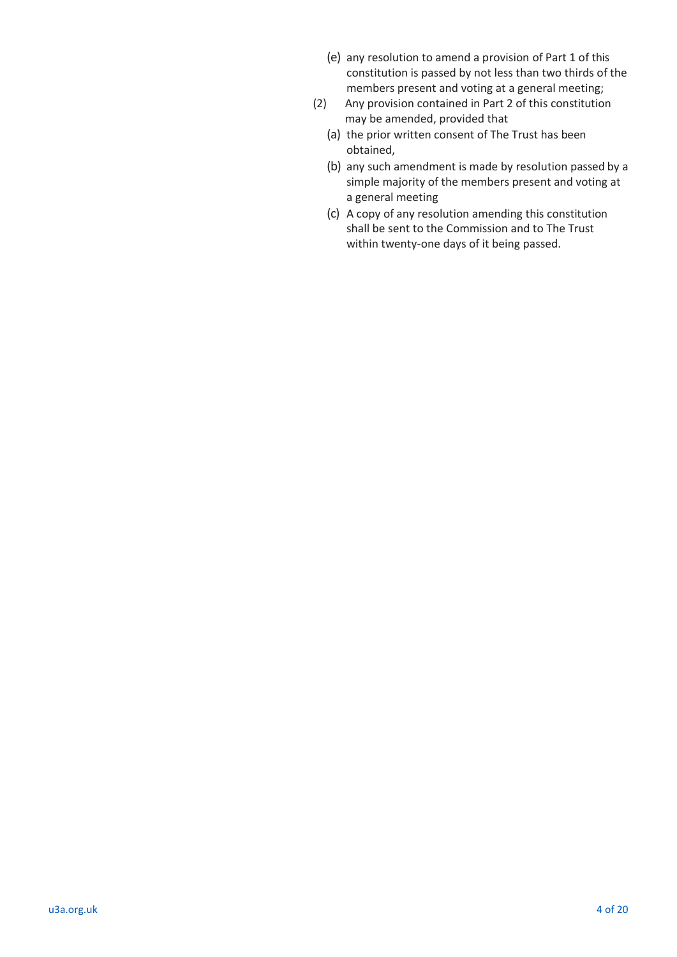- (e) any resolution to amend a provision of Part 1 of this constitution is passed by not less than two thirds of the members present and voting at a general meeting;
- (2) Any provision contained in Part 2 of this constitution may be amended, provided that
	- (a) the prior written consent of The Trust has been obtained,
	- (b) any such amendment is made by resolution passed by a simple majority of the members present and voting at a general meeting
	- (c) A copy of any resolution amending this constitution shall be sent to the Commission and to The Trust within twenty-one days of it being passed.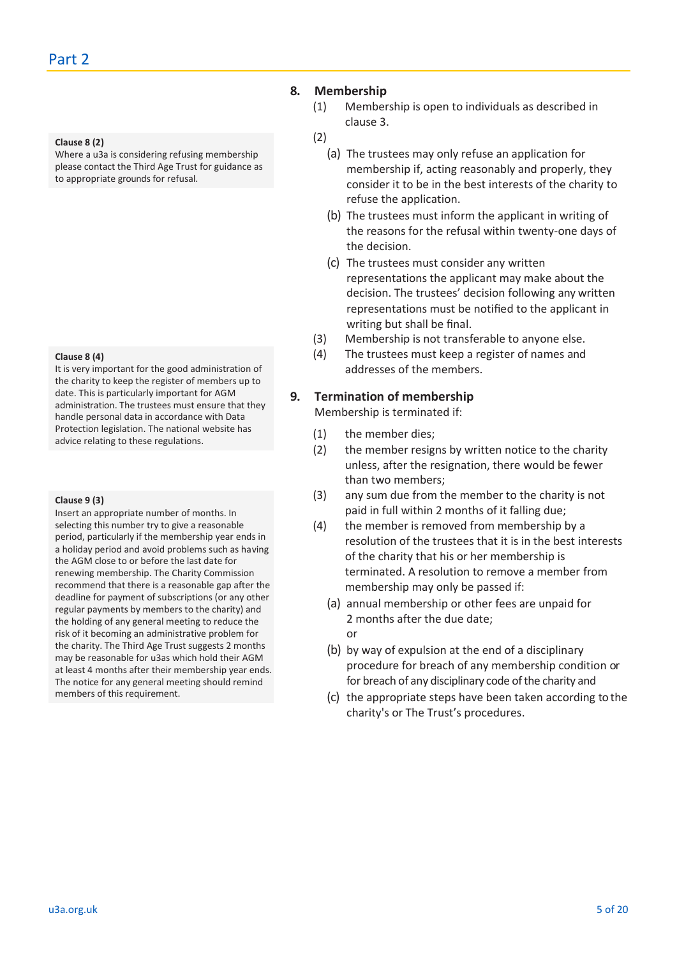#### **Clause 8 (2)**

Where a u3a is considering refusing membership please contact the Third Age Trust for guidance as to appropriate grounds for refusal.

#### **Clause 8 (4)**

It is very important for the good administration of the charity to keep the register of members up to date. This is particularly important for AGM administration. The trustees must ensure that they handle personal data in accordance with Data Protection legislation. The national website has advice relating to these regulations.

#### **Clause 9 (3)**

Insert an appropriate number of months. In selecting this number try to give a reasonable period, particularly if the membership year ends in a holiday period and avoid problems such as having the AGM close to or before the last date for renewing membership. The Charity Commission recommend that there is a reasonable gap after the deadline for payment of subscriptions (or any other regular payments by members to the charity) and the holding of any general meeting to reduce the risk of it becoming an administrative problem for the charity. The Third Age Trust suggests 2 months may be reasonable for u3as which hold their AGM at least 4 months after their membership year ends. The notice for any general meeting should remind members of this requirement.

### **8. Membership**

(1) Membership is open to individuals as described in clause 3.

### (2)

- (a) The trustees may only refuse an application for membership if, acting reasonably and properly, they consider it to be in the best interests of the charity to refuse the application.
- (b) The trustees must inform the applicant in writing of the reasons for the refusal within twenty-one days of the decision.
- (c) The trustees must consider any written representations the applicant may make about the decision. The trustees' decision following any written representations must be notified to the applicant in writing but shall be final.
- (3) Membership is not transferable to anyone else.
- (4) The trustees must keep a register of names and addresses of the members.

### **9. Termination of membership**

Membership is terminated if:

- (1) the member dies;
- (2) the member resigns by written notice to the charity unless, after the resignation, there would be fewer than two members;
- (3) any sum due from the member to the charity is not paid in full within 2 months of it falling due;
- (4) the member is removed from membership by a resolution of the trustees that it is in the best interests of the charity that his or her membership is terminated. A resolution to remove a member from membership may only be passed if:
	- (a) annual membership or other fees are unpaid for 2 months after the due date; or
	- (b) by way of expulsion at the end of a disciplinary procedure for breach of any membership condition or for breach of any disciplinary code of the charity and
	- (c) the appropriate steps have been taken according to the charity's or The Trust's procedures.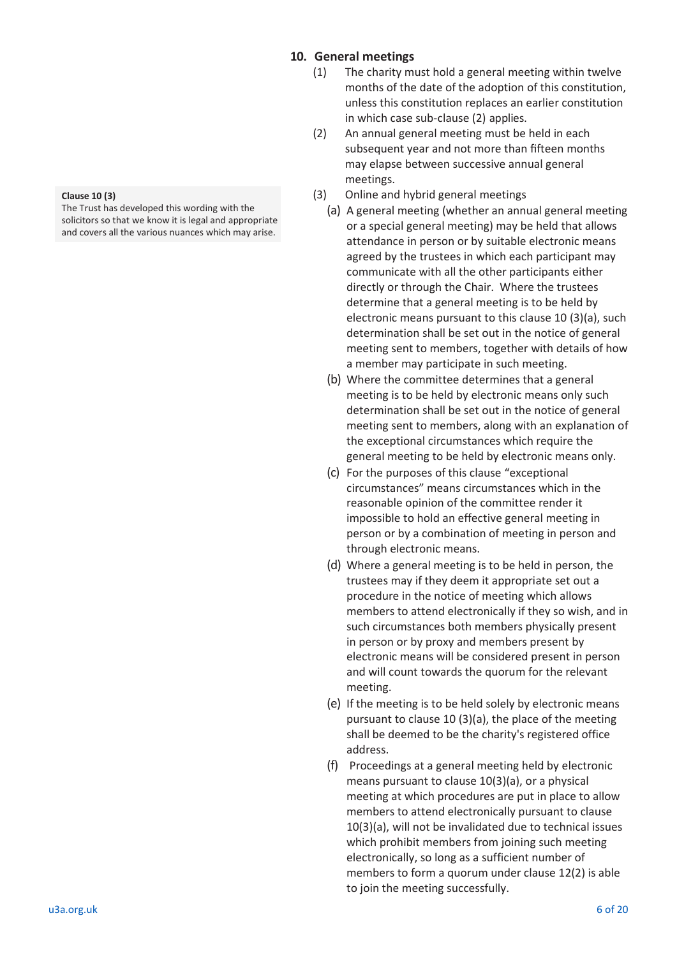### **10. General meetings**

- (1) The charity must hold a general meeting within twelve months of the date of the adoption of this constitution, unless this constitution replaces an earlier constitution in which case sub-clause (2) applies.
- (2) An annual general meeting must be held in each subsequent year and not more than fifteen months may elapse between successive annual general meetings.
- (3) Online and hybrid general meetings
	- (a) A general meeting (whether an annual general meeting or a special general meeting) may be held that allows attendance in person or by suitable electronic means agreed by the trustees in which each participant may communicate with all the other participants either directly or through the Chair. Where the trustees determine that a general meeting is to be held by electronic means pursuant to this clause 10 (3)(a), such determination shall be set out in the notice of general meeting sent to members, together with details of how a member may participate in such meeting.
	- (b) Where the committee determines that a general meeting is to be held by electronic means only such determination shall be set out in the notice of general meeting sent to members, along with an explanation of the exceptional circumstances which require the general meeting to be held by electronic means only.
	- (c) For the purposes of this clause "exceptional circumstances" means circumstances which in the reasonable opinion of the committee render it impossible to hold an effective general meeting in person or by a combination of meeting in person and through electronic means.
	- (d) Where a general meeting is to be held in person, the trustees may if they deem it appropriate set out a procedure in the notice of meeting which allows members to attend electronically if they so wish, and in such circumstances both members physically present in person or by proxy and members present by electronic means will be considered present in person and will count towards the quorum for the relevant meeting.
	- (e) If the meeting is to be held solely by electronic means pursuant to clause 10 (3)(a), the place of the meeting shall be deemed to be the charity's registered office address.
	- (f) Proceedings at a general meeting held by electronic means pursuant to clause 10(3)(a), or a physical meeting at which procedures are put in place to allow members to attend electronically pursuant to clause 10(3)(a), will not be invalidated due to technical issues which prohibit members from joining such meeting electronically, so long as a sufficient number of members to form a quorum under clause 12(2) is able to join the meeting successfully.

#### **Clause 10 (3)**

The Trust has developed this wording with the solicitors so that we know it is legal and appropriate and covers all the various nuances which may arise.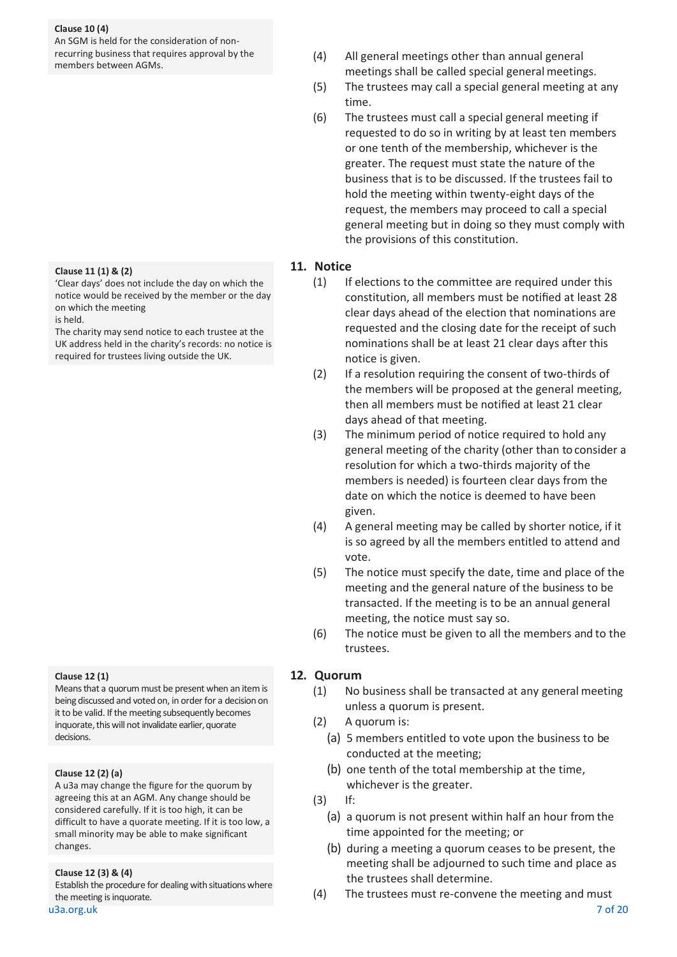#### **Clause 10 (4)**

An SGM is held for the consideration of nonrecurring business that requires approval by the members between AGMs.

#### **Clause 11 (1) & (2)**

'Clear days' does not include the day on which the notice would be received by the member or the day on which the meeting is held.

The charity may send notice to each trustee at the UK address held in the charity's records: no notice is required for trustees living outside the UK.

#### **Clause 12 (1)**

Means that a quorum must be present when an item is being discussed and voted on, in order for a decision on it to be valid. If the meeting subsequently becomes inquorate, this will not invalidate earlier, quorate decisions.

#### **Clause 12 (2) (a)**

A u3a may change the figure for the quorum by agreeing this at an AGM. Any change should be considered carefully. If it is too high, it can be difficult to have a quorate meeting. If it is too low, a small minority may be able to make significant changes.

#### **Clause 12 (3) & (4)**

Establish the procedure for dealing with situations where the meeting is inquorate.

u3a.org.uk 7 of 20

- (4) All general meetings other than annual general meetings shall be called special general meetings.
- (5) The trustees may call a special general meeting at any time.
- (6) The trustees must call a special general meeting if requested to do so in writing by at least ten members or one tenth of the membership, whichever is the greater. The request must state the nature of the business that is to be discussed. If the trustees fail to hold the meeting within twenty-eight days of the request, the members may proceed to call a special general meeting but in doing so they must comply with the provisions of this constitution.

#### **11. Notice**

- (1) If elections to the committee are required under this constitution, all members must be notified at least 28 clear days ahead of the election that nominations are requested and the closing date for the receipt of such nominations shall be at least 21 clear days after this notice is given.
- (2) If a resolution requiring the consent of two-thirds of the members will be proposed at the general meeting, then all members must be notified at least 21 clear days ahead of that meeting.
- (3) The minimum period of notice required to hold any general meeting of the charity (other than to consider a resolution for which a two-thirds majority of the members is needed) is fourteen clear days from the date on which the notice is deemed to have been given.
- (4) A general meeting may be called by shorter notice, if it is so agreed by all the members entitled to attend and vote.
- (5) The notice must specify the date, time and place of the meeting and the general nature of the business to be transacted. If the meeting is to be an annual general meeting, the notice must say so.
- (6) The notice must be given to all the members and to the trustees.

#### **12. Quorum**

- (1) No business shall be transacted at any general meeting unless a quorum is present.
- (2) A quorum is:
	- (a) 5 members entitled to vote upon the business to be conducted at the meeting;
	- (b) one tenth of the total membership at the time, whichever is the greater.
- (3) If:
	- (a) a quorum is not present within half an hour from the time appointed for the meeting; or
	- (b) during a meeting a quorum ceases to be present, the meeting shall be adjourned to such time and place as the trustees shall determine.
- (4) The trustees must re-convene the meeting and must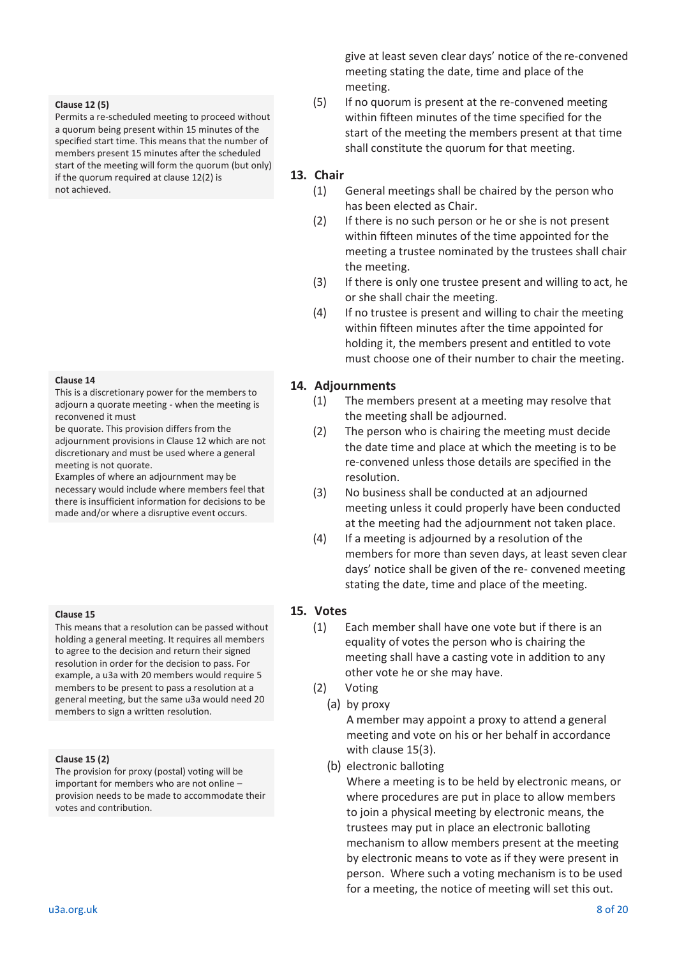#### **Clause 12 (5)**

Permits a re-scheduled meeting to proceed without a quorum being present within 15 minutes of the specified start time. This means that the number of members present 15 minutes after the scheduled start of the meeting will form the quorum (but only) if the quorum required at clause 12(2) is not achieved.

#### **Clause 14**

This is a discretionary power for the members to adjourn a quorate meeting - when the meeting is reconvened it must

be quorate. This provision differs from the adjournment provisions in Clause 12 which are not discretionary and must be used where a general meeting is not quorate.

Examples of where an adjournment may be

necessary would include where members feel that there is insufficient information for decisions to be made and/or where a disruptive event occurs.

#### **Clause 15**

This means that a resolution can be passed without holding a general meeting. It requires all members to agree to the decision and return their signed resolution in order for the decision to pass. For example, a u3a with 20 members would require 5 members to be present to pass a resolution at a general meeting, but the same u3a would need 20 members to sign a written resolution.

#### **Clause 15 (2)**

The provision for proxy (postal) voting will be important for members who are not online – provision needs to be made to accommodate their votes and contribution.

give at least seven clear days' notice of the re-convened meeting stating the date, time and place of the meeting.

(5) If no quorum is present at the re-convened meeting within fifteen minutes of the time specified for the start of the meeting the members present at that time shall constitute the quorum for that meeting.

### **13. Chair**

- (1) General meetings shall be chaired by the person who has been elected as Chair.
- (2) If there is no such person or he or she is not present within fifteen minutes of the time appointed for the meeting a trustee nominated by the trustees shall chair the meeting.
- (3) If there is only one trustee present and willing to act, he or she shall chair the meeting.
- (4) If no trustee is present and willing to chair the meeting within fifteen minutes after the time appointed for holding it, the members present and entitled to vote must choose one of their number to chair the meeting.

### **14. Adjournments**

- (1) The members present at a meeting may resolve that the meeting shall be adjourned.
- (2) The person who is chairing the meeting must decide the date time and place at which the meeting is to be re-convened unless those details are specified in the resolution.
- (3) No business shall be conducted at an adjourned meeting unless it could properly have been conducted at the meeting had the adjournment not taken place.
- (4) If a meeting is adjourned by a resolution of the members for more than seven days, at least seven clear days' notice shall be given of the re- convened meeting stating the date, time and place of the meeting.

### **15. Votes**

- (1) Each member shall have one vote but if there is an equality of votes the person who is chairing the meeting shall have a casting vote in addition to any other vote he or she may have.
- (2) Voting
	- (a) by proxy

A member may appoint a proxy to attend a general meeting and vote on his or her behalf in accordance with clause 15(3).

(b) electronic balloting

Where a meeting is to be held by electronic means, or where procedures are put in place to allow members to join a physical meeting by electronic means, the trustees may put in place an electronic balloting mechanism to allow members present at the meeting by electronic means to vote as if they were present in person. Where such a voting mechanism is to be used for a meeting, the notice of meeting will set this out.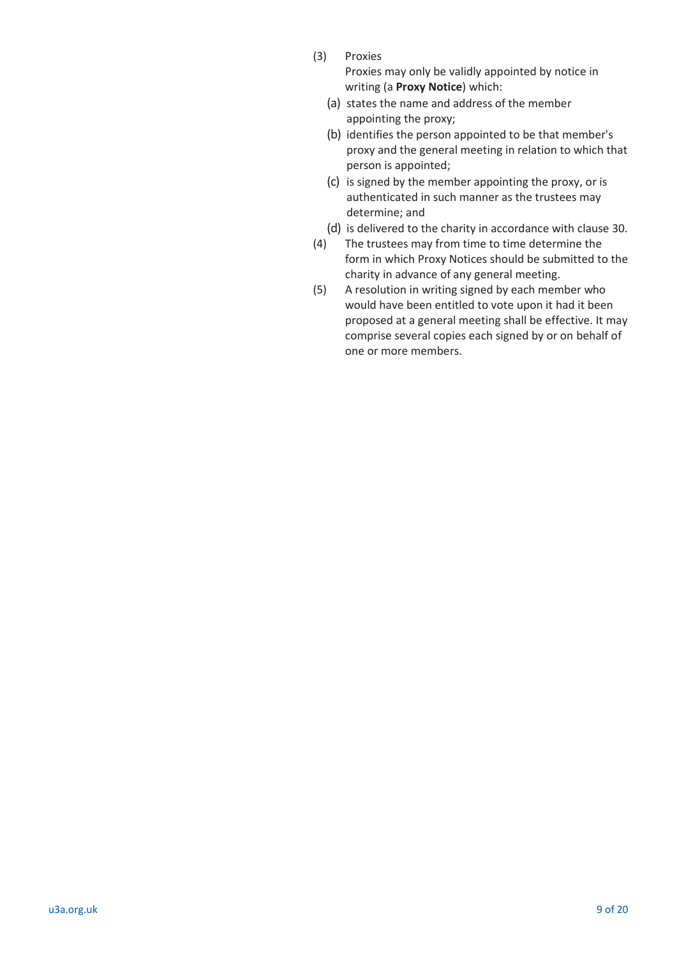(3) Proxies

Proxies may only be validly appointed by notice in writing (a **Proxy Notice**) which:

- (a) states the name and address of the member appointing the proxy;
- (b) identifies the person appointed to be that member's proxy and the general meeting in relation to which that person is appointed;
- (c) is signed by the member appointing the proxy, or is authenticated in such manner as the trustees may determine; and
- (d) is delivered to the charity in accordance with clause 30.
- (4) The trustees may from time to time determine the form in which Proxy Notices should be submitted to the charity in advance of any general meeting.
- (5) A resolution in writing signed by each member who would have been entitled to vote upon it had it been proposed at a general meeting shall be effective. It may comprise several copies each signed by or on behalf of one or more members.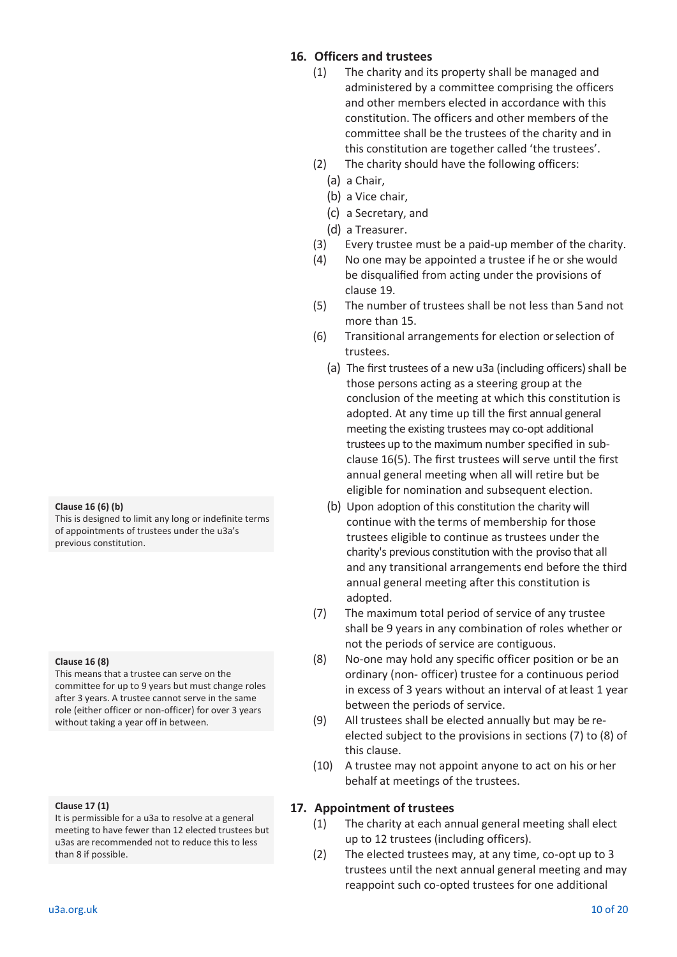#### **Clause 16 (6) (b)**

This is designed to limit any long or indefinite terms of appointments of trustees under the u3a's previous constitution.

**Clause 16 (8)**

This means that a trustee can serve on the committee for up to 9 years but must change roles after 3 years. A trustee cannot serve in the same role (either officer or non-officer) for over 3 years without taking a year off in between.

#### **Clause 17 (1)**

It is permissible for a u3a to resolve at a general meeting to have fewer than 12 elected trustees but u3as are recommended not to reduce this to less than 8 if possible.

### **16. Officers and trustees**

- (1) The charity and its property shall be managed and administered by a committee comprising the officers and other members elected in accordance with this constitution. The officers and other members of the committee shall be the trustees of the charity and in this constitution are together called 'the trustees'.
- (2) The charity should have the following officers:
	- (a) a Chair,
	- (b) a Vice chair,
	- (c) a Secretary, and
	- (d) a Treasurer.
- (3) Every trustee must be a paid-up member of the charity.
- (4) No one may be appointed a trustee if he or she would be disqualified from acting under the provisions of clause 19.
- (5) The number of trustees shall be not less than 5 and not more than 15.
- (6) Transitional arrangements for election or selection of trustees.
	- (a) The first trustees of a new u3a (including officers) shall be those persons acting as a steering group at the conclusion of the meeting at which this constitution is adopted. At any time up till the first annual general meeting the existing trustees may co-opt additional trustees up to the maximum number specified in subclause 16(5). The first trustees will serve until the first annual general meeting when all will retire but be eligible for nomination and subsequent election.
	- (b) Upon adoption of this constitution the charity will continue with the terms of membership for those trustees eligible to continue as trustees under the charity's previous constitution with the proviso that all and any transitional arrangements end before the third annual general meeting after this constitution is adopted.
- (7) The maximum total period of service of any trustee shall be 9 years in any combination of roles whether or not the periods of service are contiguous.
- (8) No-one may hold any specific officer position or be an ordinary (non- officer) trustee for a continuous period in excess of 3 years without an interval of at least 1 year between the periods of service.
- (9) All trustees shall be elected annually but may be reelected subject to the provisions in sections (7) to (8) of this clause.
- (10) A trustee may not appoint anyone to act on his or her behalf at meetings of the trustees.

### **17. Appointment of trustees**

- (1) The charity at each annual general meeting shall elect up to 12 trustees (including officers).
- (2) The elected trustees may, at any time, co-opt up to 3 trustees until the next annual general meeting and may reappoint such co-opted trustees for one additional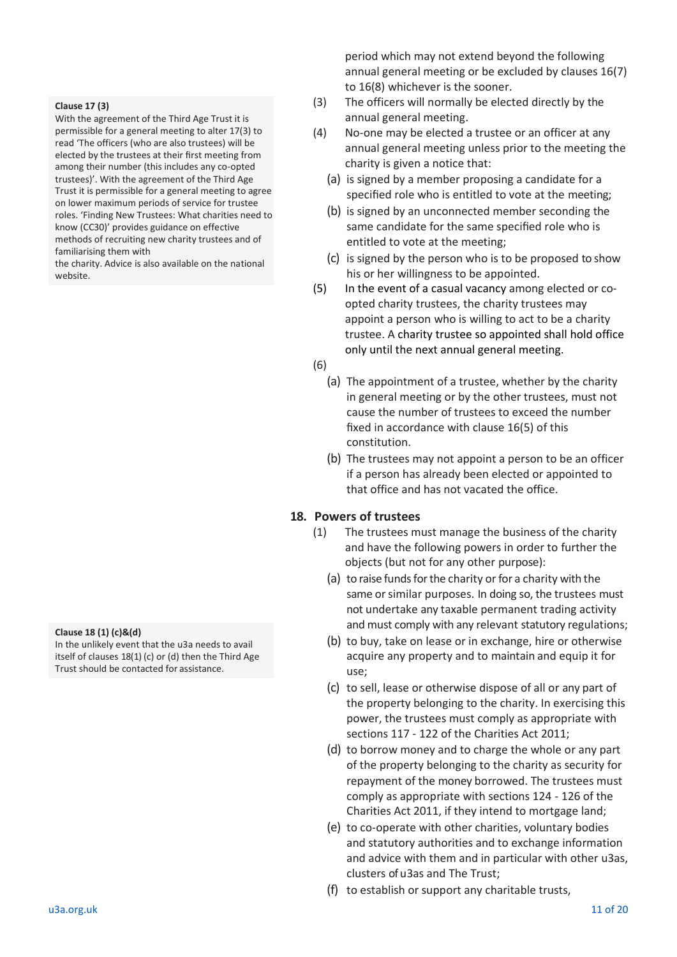#### **Clause 17 (3)**

With the agreement of the Third Age Trust it is permissible for a general meeting to alter 17(3) to read 'The officers (who are also trustees) will be elected by the trustees at their first meeting from among their number (this includes any co-opted trustees)'. With the agreement of the Third Age Trust it is permissible for a general meeting to agree on lower maximum periods of service for trustee roles. 'Finding New Trustees: What charities need to know (CC30)' provides guidance on effective methods of recruiting new charity trustees and of familiarising them with

the charity. Advice is also available on the national website.

#### **Clause 18 (1) (c)&(d)**

In the unlikely event that the u3a needs to avail itself of clauses 18(1) (c) or (d) then the Third Age Trust should be contacted for assistance.

period which may not extend beyond the following annual general meeting or be excluded by clauses 16(7) to 16(8) whichever is the sooner.

- (3) The officers will normally be elected directly by the annual general meeting.
- (4) No-one may be elected a trustee or an officer at any annual general meeting unless prior to the meeting the charity is given a notice that:
	- (a) is signed by a member proposing a candidate for a specified role who is entitled to vote at the meeting;
	- (b) is signed by an unconnected member seconding the same candidate for the same specified role who is entitled to vote at the meeting;
	- (c) is signed by the person who is to be proposed to show his or her willingness to be appointed.
- (5) In the event of a casual vacancy among elected or coopted charity trustees, the charity trustees may appoint a person who is willing to act to be a charity trustee. A charity trustee so appointed shall hold office only until the next annual general meeting.
- (6)
	- (a) The appointment of a trustee, whether by the charity in general meeting or by the other trustees, must not cause the number of trustees to exceed the number fixed in accordance with clause 16(5) of this constitution.
	- (b) The trustees may not appoint a person to be an officer if a person has already been elected or appointed to that office and has not vacated the office.

### **18. Powers of trustees**

- (1) The trustees must manage the business of the charity and have the following powers in order to further the objects (but not for any other purpose):
	- (a) to raise funds for the charity or for a charity with the same or similar purposes. In doing so, the trustees must not undertake any taxable permanent trading activity and must comply with any relevant statutory regulations;
	- (b) to buy, take on lease or in exchange, hire or otherwise acquire any property and to maintain and equip it for use;
	- (c) to sell, lease or otherwise dispose of all or any part of the property belonging to the charity. In exercising this power, the trustees must comply as appropriate with sections 117 - 122 of the Charities Act 2011;
	- (d) to borrow money and to charge the whole or any part of the property belonging to the charity as security for repayment of the money borrowed. The trustees must comply as appropriate with sections 124 - 126 of the Charities Act 2011, if they intend to mortgage land;
	- (e) to co-operate with other charities, voluntary bodies and statutory authorities and to exchange information and advice with them and in particular with other u3as, clusters of u3as and The Trust;
	- (f) to establish or support any charitable trusts,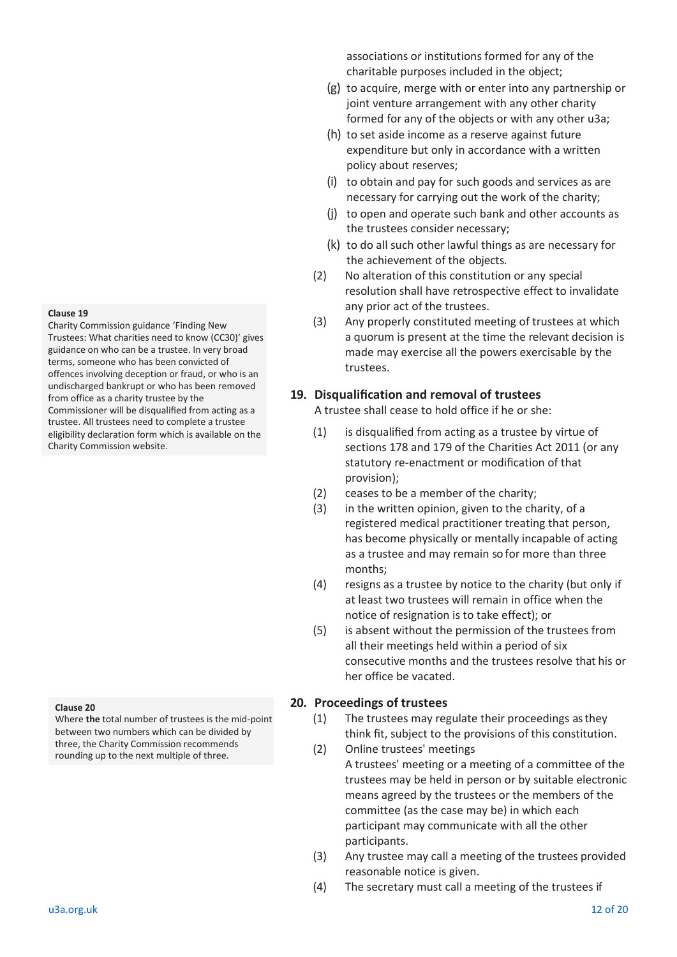#### **Clause 19**

Charity Commission guidance 'Finding New Trustees: What charities need to know (CC30)' gives guidance on who can be a trustee. In very broad terms, someone who has been convicted of offences involving deception or fraud, or who is an undischarged bankrupt or who has been removed from office as a charity trustee by the Commissioner will be disqualified from acting as a trustee. All trustees need to complete a trustee eligibility declaration form which is available on the Charity Commission website.

#### **Clause 20**

Where **the** total number of trustees is the mid-point between two numbers which can be divided by three, the Charity Commission recommends rounding up to the next multiple of three.

associations or institutions formed for any of the charitable purposes included in the object;

- (g) to acquire, merge with or enter into any partnership or joint venture arrangement with any other charity formed for any of the objects or with any other u3a;
- (h) to set aside income as a reserve against future expenditure but only in accordance with a written policy about reserves;
- (i) to obtain and pay for such goods and services as are necessary for carrying out the work of the charity;
- (j) to open and operate such bank and other accounts as the trustees consider necessary;
- (k) to do all such other lawful things as are necessary for the achievement of the objects.
- (2) No alteration of this constitution or any special resolution shall have retrospective effect to invalidate any prior act of the trustees.
- (3) Any properly constituted meeting of trustees at which a quorum is present at the time the relevant decision is made may exercise all the powers exercisable by the trustees.

### **19. Disqualification and removal of trustees**

A trustee shall cease to hold office if he or she:

- (1) is disqualified from acting as a trustee by virtue of sections 178 and 179 of the Charities Act 2011 (or any statutory re-enactment or modification of that provision);
- (2) ceases to be a member of the charity;
- (3) in the written opinion, given to the charity, of a registered medical practitioner treating that person, has become physically or mentally incapable of acting as a trustee and may remain so for more than three months;
- (4) resigns as a trustee by notice to the charity (but only if at least two trustees will remain in office when the notice of resignation is to take effect); or
- (5) is absent without the permission of the trustees from all their meetings held within a period of six consecutive months and the trustees resolve that his or her office be vacated.

### **20. Proceedings of trustees**

- (1) The trustees may regulate their proceedings as they think fit, subject to the provisions of this constitution.
- (2) Online trustees' meetings A trustees' meeting or a meeting of a committee of the trustees may be held in person or by suitable electronic means agreed by the trustees or the members of the committee (as the case may be) in which each participant may communicate with all the other participants.
- (3) Any trustee may call a meeting of the trustees provided reasonable notice is given.
- (4) The secretary must call a meeting of the trustees if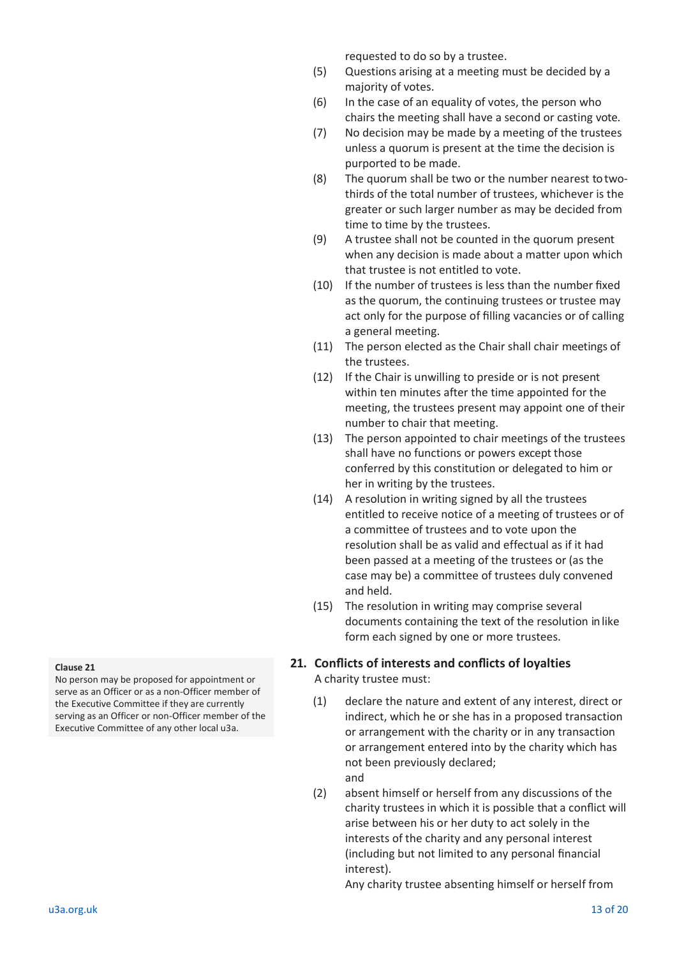requested to do so by a trustee.

- (5) Questions arising at a meeting must be decided by a majority of votes.
- (6) In the case of an equality of votes, the person who chairs the meeting shall have a second or casting vote.
- (7) No decision may be made by a meeting of the trustees unless a quorum is present at the time the decision is purported to be made.
- (8) The quorum shall be two or the number nearest to twothirds of the total number of trustees, whichever is the greater or such larger number as may be decided from time to time by the trustees.
- (9) A trustee shall not be counted in the quorum present when any decision is made about a matter upon which that trustee is not entitled to vote.
- (10) If the number of trustees is less than the number fixed as the quorum, the continuing trustees or trustee may act only for the purpose of filling vacancies or of calling a general meeting.
- (11) The person elected as the Chair shall chair meetings of the trustees.
- (12) If the Chair is unwilling to preside or is not present within ten minutes after the time appointed for the meeting, the trustees present may appoint one of their number to chair that meeting.
- (13) The person appointed to chair meetings of the trustees shall have no functions or powers except those conferred by this constitution or delegated to him or her in writing by the trustees.
- (14) A resolution in writing signed by all the trustees entitled to receive notice of a meeting of trustees or of a committee of trustees and to vote upon the resolution shall be as valid and effectual as if it had been passed at a meeting of the trustees or (as the case may be) a committee of trustees duly convened and held.
- (15) The resolution in writing may comprise several documents containing the text of the resolution in like form each signed by one or more trustees.

### **21. Conflicts of interests and conflicts of loyalties** A charity trustee must:

- (1) declare the nature and extent of any interest, direct or indirect, which he or she has in a proposed transaction or arrangement with the charity or in any transaction or arrangement entered into by the charity which has not been previously declared; and
- (2) absent himself or herself from any discussions of the charity trustees in which it is possible that a conflict will arise between his or her duty to act solely in the interests of the charity and any personal interest (including but not limited to any personal financial interest).

Any charity trustee absenting himself or herself from

#### **Clause 21**

No person may be proposed for appointment or serve as an Officer or as a non-Officer member of the Executive Committee if they are currently serving as an Officer or non-Officer member of the Executive Committee of any other local u3a.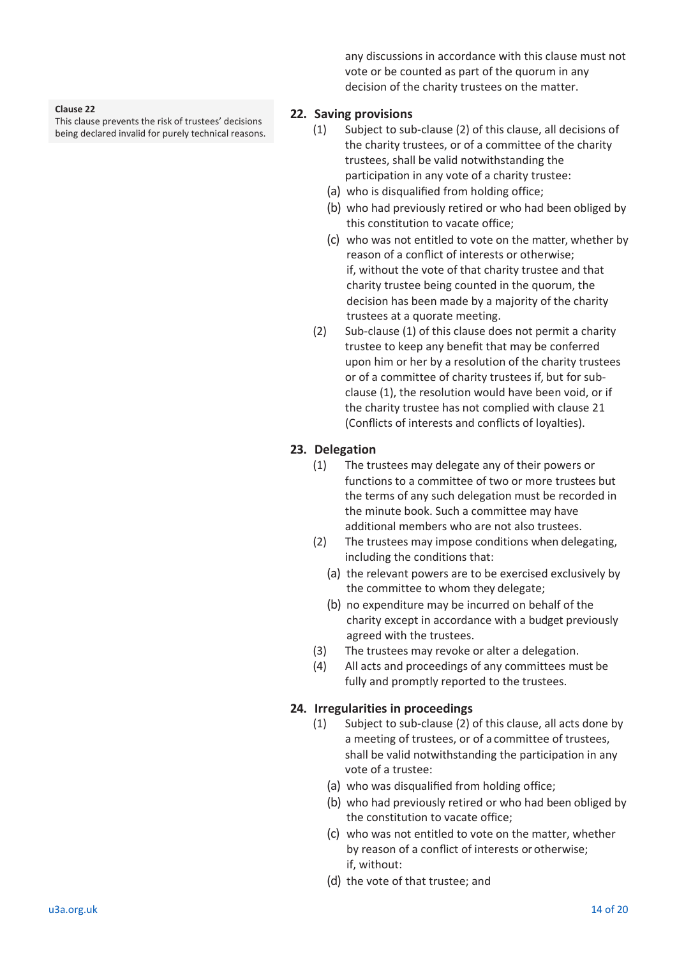#### **Clause 22**

This clause prevents the risk of trustees' decisions being declared invalid for purely technical reasons.

any discussions in accordance with this clause must not vote or be counted as part of the quorum in any decision of the charity trustees on the matter.

### **22. Saving provisions**

- (1) Subject to sub-clause (2) of this clause, all decisions of the charity trustees, or of a committee of the charity trustees, shall be valid notwithstanding the participation in any vote of a charity trustee:
	- (a) who is disqualified from holding office;
	- (b) who had previously retired or who had been obliged by this constitution to vacate office;
	- (c) who was not entitled to vote on the matter, whether by reason of a conflict of interests or otherwise; if, without the vote of that charity trustee and that charity trustee being counted in the quorum, the decision has been made by a majority of the charity trustees at a quorate meeting.
- (2) Sub-clause (1) of this clause does not permit a charity trustee to keep any benefit that may be conferred upon him or her by a resolution of the charity trustees or of a committee of charity trustees if, but for subclause (1), the resolution would have been void, or if the charity trustee has not complied with clause 21 (Conflicts of interests and conflicts of loyalties).

### **23. Delegation**

- (1) The trustees may delegate any of their powers or functions to a committee of two or more trustees but the terms of any such delegation must be recorded in the minute book. Such a committee may have additional members who are not also trustees.
- (2) The trustees may impose conditions when delegating, including the conditions that:
	- (a) the relevant powers are to be exercised exclusively by the committee to whom they delegate;
	- (b) no expenditure may be incurred on behalf of the charity except in accordance with a budget previously agreed with the trustees.
- (3) The trustees may revoke or alter a delegation.
- (4) All acts and proceedings of any committees must be fully and promptly reported to the trustees.

### **24. Irregularities in proceedings**

- (1) Subject to sub-clause (2) of this clause, all acts done by a meeting of trustees, or of a committee of trustees, shall be valid notwithstanding the participation in any vote of a trustee:
	- (a) who was disqualified from holding office;
	- (b) who had previously retired or who had been obliged by the constitution to vacate office;
	- (c) who was not entitled to vote on the matter, whether by reason of a conflict of interests or otherwise; if, without:
	- (d) the vote of that trustee; and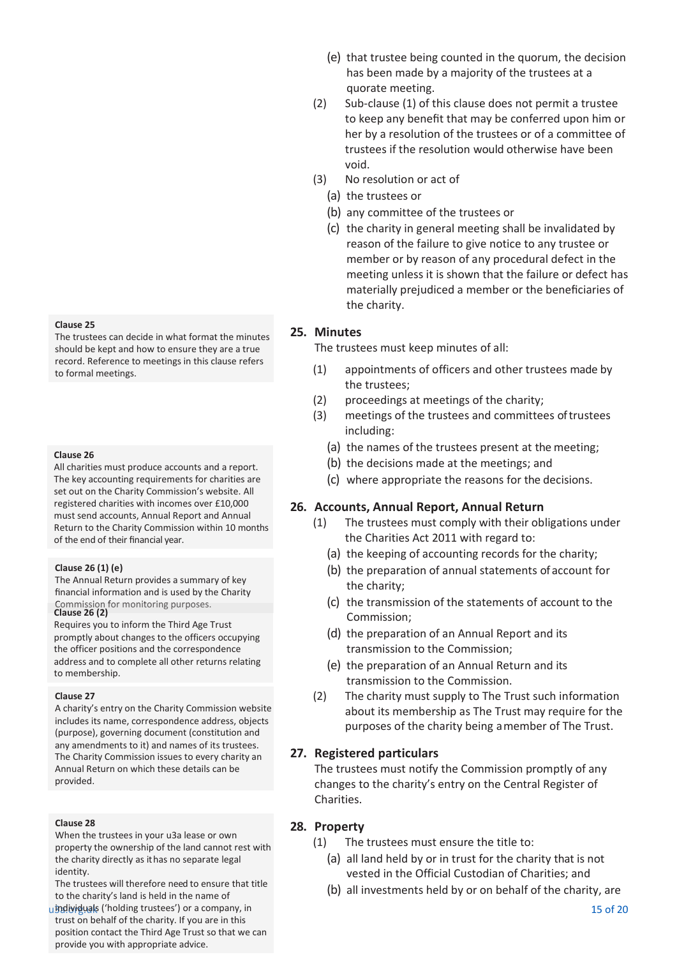#### **Clause 25**

The trustees can decide in what format the minutes should be kept and how to ensure they are a true record. Reference to meetings in this clause refers to formal meetings.

#### **Clause 26**

All charities must produce accounts and a report. The key accounting requirements for charities are set out on the Charity Commission's website. All registered charities with incomes over £10,000 must send accounts, Annual Report and Annual Return to the Charity Commission within 10 months of the end of their financial year.

#### **Clause 26 (1) (e)**

The Annual Return provides a summary of key financial information and is used by the Charity Commission for monitoring purposes. **Clause 26 (2)**

Requires you to inform the Third Age Trust promptly about changes to the officers occupying the officer positions and the correspondence address and to complete all other returns relating to membership.

#### **Clause 27**

A charity's entry on the Charity Commission website includes its name, correspondence address, objects (purpose), governing document (constitution and any amendments to it) and names of its trustees. The Charity Commission issues to every charity an Annual Return on which these details can be provided.

#### **Clause 28**

When the trustees in your u3a lease or own property the ownership of the land cannot rest with the charity directly as it has no separate legal identity.

The trustees will therefore need to ensure that title to the charity's land is held in the name of

u3bdividuals ('holding trustees') or a company, in the set of the set of the set of the set of the set of the set of the set of  $20$ trust on behalf of the charity. If you are in this position contact the Third Age Trust so that we can provide you with appropriate advice.

- (e) that trustee being counted in the quorum, the decision has been made by a majority of the trustees at a quorate meeting.
- (2) Sub-clause (1) of this clause does not permit a trustee to keep any benefit that may be conferred upon him or her by a resolution of the trustees or of a committee of trustees if the resolution would otherwise have been void.
- (3) No resolution or act of
	- (a) the trustees or
	- (b) any committee of the trustees or
	- (c) the charity in general meeting shall be invalidated by reason of the failure to give notice to any trustee or member or by reason of any procedural defect in the meeting unless it is shown that the failure or defect has materially prejudiced a member or the beneficiaries of the charity.

### **25. Minutes**

The trustees must keep minutes of all:

- (1) appointments of officers and other trustees made by the trustees;
- (2) proceedings at meetings of the charity;
- (3) meetings of the trustees and committees of trustees including:
	- (a) the names of the trustees present at the meeting;
	- (b) the decisions made at the meetings; and
	- (c) where appropriate the reasons for the decisions.

### **26. Accounts, Annual Report, Annual Return**

- (1) The trustees must comply with their obligations under the Charities Act 2011 with regard to:
	- (a) the keeping of accounting records for the charity;
	- (b) the preparation of annual statements of account for the charity;
	- (c) the transmission of the statements of account to the Commission;
	- (d) the preparation of an Annual Report and its transmission to the Commission;
	- (e) the preparation of an Annual Return and its transmission to the Commission.
- (2) The charity must supply to The Trust such information about its membership as The Trust may require for the purposes of the charity being a member of The Trust.

### **27. Registered particulars**

The trustees must notify the Commission promptly of any changes to the charity's entry on the Central Register of Charities.

### **28. Property**

- (1) The trustees must ensure the title to:
	- (a) all land held by or in trust for the charity that is not vested in the Official Custodian of Charities; and
	- (b) all investments held by or on behalf of the charity, are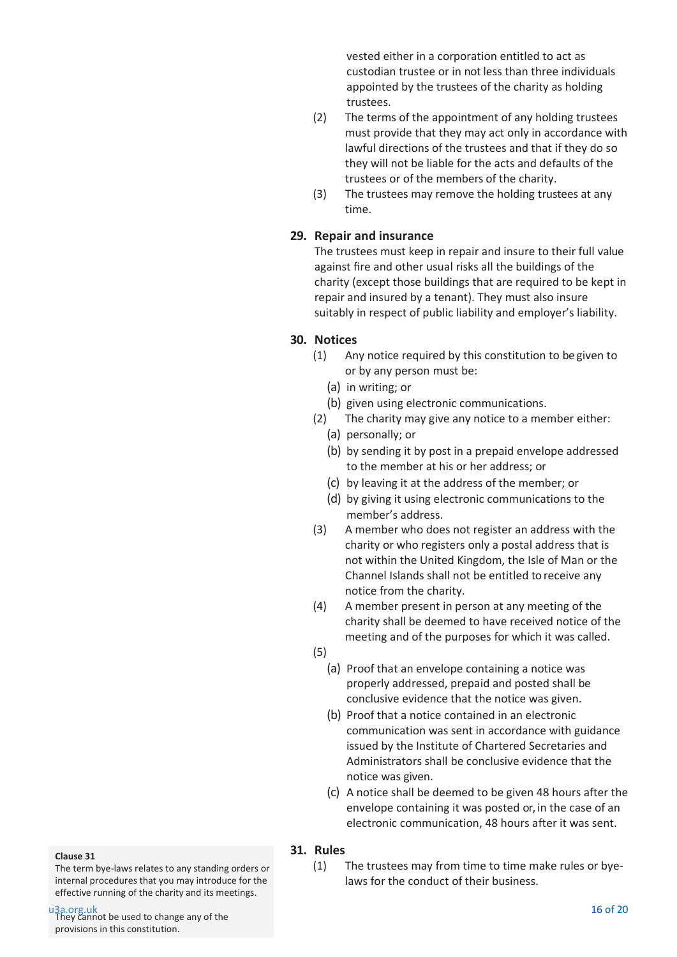vested either in a corporation entitled to act as custodian trustee or in not less than three individuals appointed by the trustees of the charity as holding trustees.

- (2) The terms of the appointment of any holding trustees must provide that they may act only in accordance with lawful directions of the trustees and that if they do so they will not be liable for the acts and defaults of the trustees or of the members of the charity.
- (3) The trustees may remove the holding trustees at any time.

### **29. Repair and insurance**

The trustees must keep in repair and insure to their full value against fire and other usual risks all the buildings of the charity (except those buildings that are required to be kept in repair and insured by a tenant). They must also insure suitably in respect of public liability and employer's liability.

### **30. Notices**

- (1) Any notice required by this constitution to be given to or by any person must be:
	- (a) in writing; or
	- (b) given using electronic communications.
- (2) The charity may give any notice to a member either: (a) personally; or
	- (b) by sending it by post in a prepaid envelope addressed to the member at his or her address; or
	- (c) by leaving it at the address of the member; or
	- (d) by giving it using electronic communications to the member's address.
- (3) A member who does not register an address with the charity or who registers only a postal address that is not within the United Kingdom, the Isle of Man or the Channel Islands shall not be entitled to receive any notice from the charity.
- (4) A member present in person at any meeting of the charity shall be deemed to have received notice of the meeting and of the purposes for which it was called.
- (5)
	- (a) Proof that an envelope containing a notice was properly addressed, prepaid and posted shall be conclusive evidence that the notice was given.
	- (b) Proof that a notice contained in an electronic communication was sent in accordance with guidance issued by the Institute of Chartered Secretaries and Administrators shall be conclusive evidence that the notice was given.
	- (c) A notice shall be deemed to be given 48 hours after the envelope containing it was posted or, in the case of an electronic communication, 48 hours after it was sent.

### **31. Rules**

(1) The trustees may from time to time make rules or byelaws for the conduct of their business.

#### **Clause 31**

The term bye-laws relates to any standing orders or internal procedures that you may introduce for the effective running of the charity and its meetings.

u3a.org.uk 16 of 20<br>They cannot be used to change any of the state of the state of the state of the state of 20 of 20 of 20 of 20 provisions in this constitution.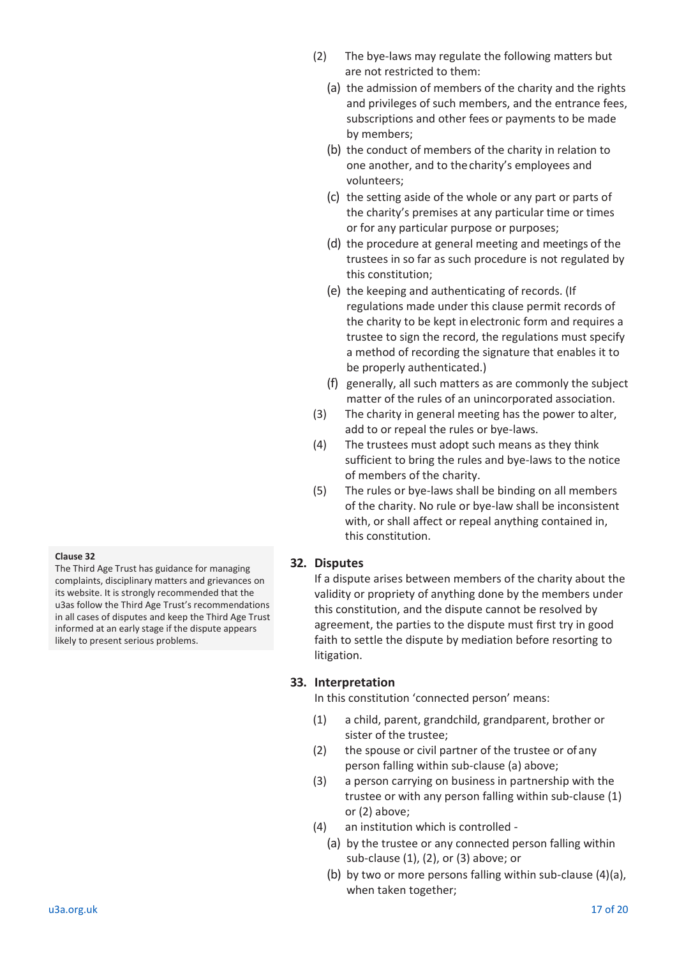The Third Age Trust has guidance for managing complaints, disciplinary matters and grievances on its website. It is strongly recommended that the u3as follow the Third Age Trust's recommendations in all cases of disputes and keep the Third Age Trust informed at an early stage if the dispute appears likely to present serious problems.

- (2) The bye-laws may regulate the following matters but are not restricted to them:
	- (a) the admission of members of the charity and the rights and privileges of such members, and the entrance fees, subscriptions and other fees or payments to be made by members;
	- (b) the conduct of members of the charity in relation to one another, and to thecharity's employees and volunteers;
	- (c) the setting aside of the whole or any part or parts of the charity's premises at any particular time or times or for any particular purpose or purposes;
	- (d) the procedure at general meeting and meetings of the trustees in so far as such procedure is not regulated by this constitution;
	- (e) the keeping and authenticating of records. (If regulations made under this clause permit records of the charity to be kept in electronic form and requires a trustee to sign the record, the regulations must specify a method of recording the signature that enables it to be properly authenticated.)
	- (f) generally, all such matters as are commonly the subject matter of the rules of an unincorporated association.
- (3) The charity in general meeting has the power to alter, add to or repeal the rules or bye-laws.
- (4) The trustees must adopt such means as they think sufficient to bring the rules and bye-laws to the notice of members of the charity.
- (5) The rules or bye-laws shall be binding on all members of the charity. No rule or bye-law shall be inconsistent with, or shall affect or repeal anything contained in, this constitution.

# **32. Disputes**

If a dispute arises between members of the charity about the validity or propriety of anything done by the members under this constitution, and the dispute cannot be resolved by agreement, the parties to the dispute must first try in good faith to settle the dispute by mediation before resorting to litigation.

# **33. Interpretation**

In this constitution 'connected person' means:

- (1) a child, parent, grandchild, grandparent, brother or sister of the trustee;
- (2) the spouse or civil partner of the trustee or of any person falling within sub-clause (a) above;
- (3) a person carrying on business in partnership with the trustee or with any person falling within sub-clause (1) or (2) above;
- (4) an institution which is controlled
	- (a) by the trustee or any connected person falling within sub-clause (1), (2), or (3) above; or
	- (b) by two or more persons falling within sub-clause (4)(a), when taken together;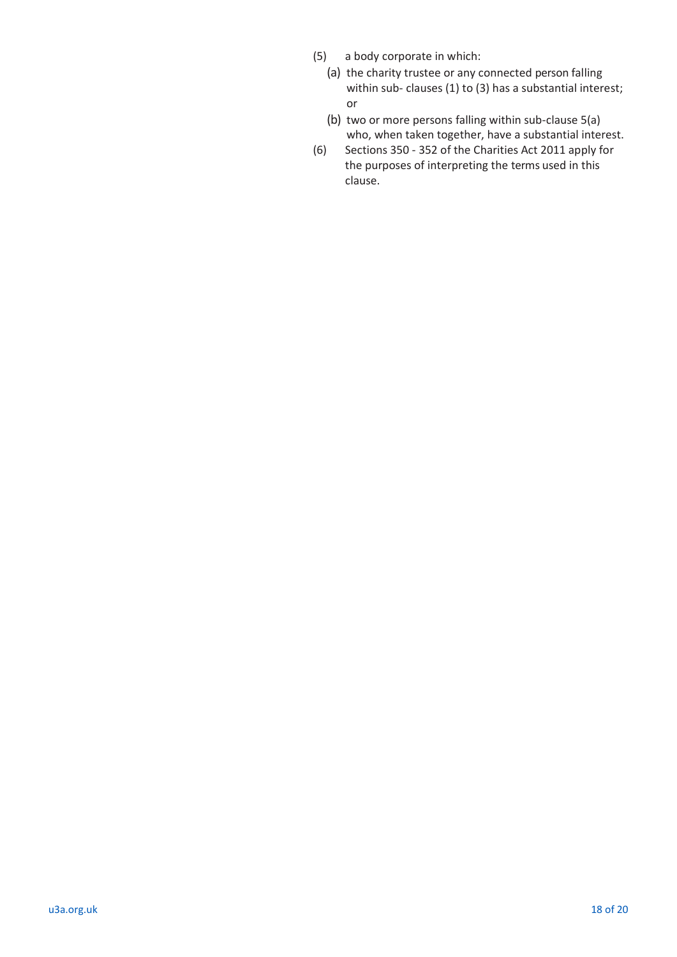- (5) a body corporate in which:
	- (a) the charity trustee or any connected person falling within sub- clauses (1) to (3) has a substantial interest; or
	- (b) two or more persons falling within sub-clause 5(a) who, when taken together, have a substantial interest.
- (6) Sections 350 352 of the Charities Act 2011 apply for the purposes of interpreting the terms used in this clause.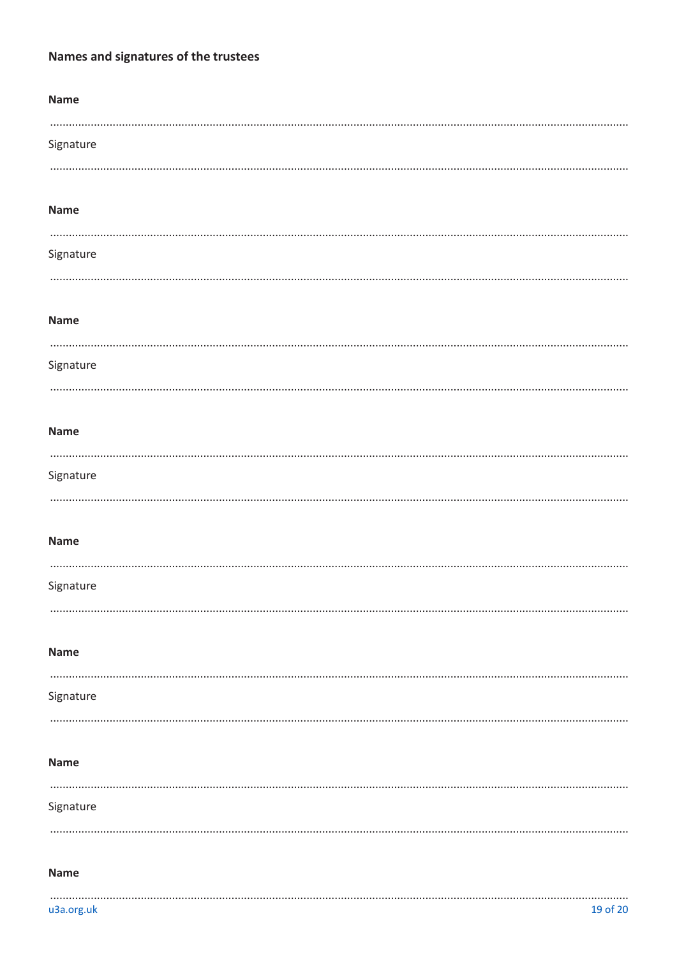# Names and signatures of the trustees

| <b>Name</b> |  |  |  |
|-------------|--|--|--|
| Signature   |  |  |  |
| <b>Name</b> |  |  |  |
| Signature   |  |  |  |
| <b>Name</b> |  |  |  |
| Signature   |  |  |  |
| <b>Name</b> |  |  |  |
| Signature   |  |  |  |
| <b>Name</b> |  |  |  |
| Signature   |  |  |  |
| <b>Name</b> |  |  |  |
| Signature   |  |  |  |
| <b>Name</b> |  |  |  |
| Signature   |  |  |  |
| <b>Name</b> |  |  |  |
|             |  |  |  |